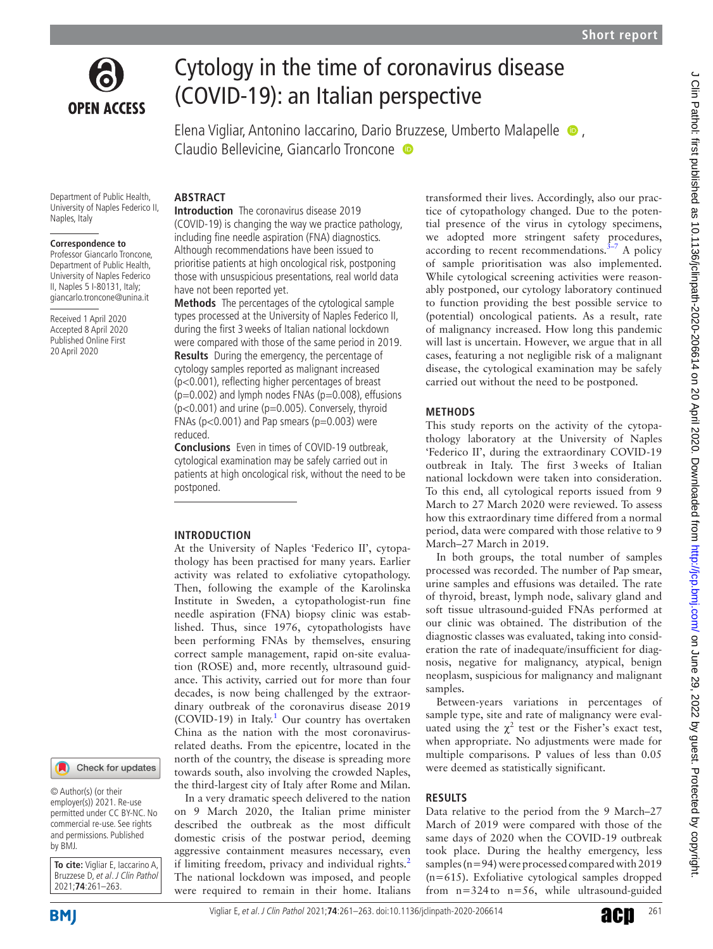

# Cytology in the time of coronavirus disease (COVID-19): an Italian perspective

Elena Vigliar, Antonino Iaccarino, Dario Bruzzese, Umberto Malapelle  $\bullet$ , Claudio Bellevicine, Giancarlo Troncone <sup>o</sup>

Department of Public Health, University of Naples Federico II, Naples, Italy

#### **Correspondence to**

Professor Giancarlo Troncone, Department of Public Health, University of Naples Federico II, Naples 5 I-80131, Italy; giancarlo.troncone@unina.it

Received 1 April 2020 Accepted 8 April 2020 Published Online First 20 April 2020

Check for updates

© Author(s) (or their employer(s)) 2021. Re-use permitted under CC BY-NC. No commercial re-use. See rights and permissions. Published by BMJ.

**To cite:** Vigliar E, Iaccarino A, Bruzzese D, et al. J Clin Pathol 2021;**74**:261–263.

# **Abstract**

**Introduction** The coronavirus disease 2019 (COVID-19) is changing the way we practice pathology, including fine needle aspiration (FNA) diagnostics. Although recommendations have been issued to prioritise patients at high oncological risk, postponing those with unsuspicious presentations, real world data have not been reported yet.

**Methods** The percentages of the cytological sample types processed at the University of Naples Federico II, during the first 3weeks of Italian national lockdown were compared with those of the same period in 2019. **Results** During the emergency, the percentage of cytology samples reported as malignant increased (p<0.001), reflecting higher percentages of breast  $(p=0.002)$  and lymph nodes FNAs  $(p=0.008)$ , effusions  $(p<0.001)$  and urine ( $p=0.005$ ). Conversely, thyroid FNAs ( $p$ <0.001) and Pap smears ( $p$ =0.003) were reduced.

**Conclusions** Even in times of COVID-19 outbreak, cytological examination may be safely carried out in patients at high oncological risk, without the need to be postponed.

## **Introduction**

At the University of Naples 'Federico II', cytopathology has been practised for many years. Earlier activity was related to exfoliative cytopathology. Then, following the example of the Karolinska Institute in Sweden, a cytopathologist-run fine needle aspiration (FNA) biopsy clinic was established. Thus, since 1976, cytopathologists have been performing FNAs by themselves, ensuring correct sample management, rapid on-site evaluation (ROSE) and, more recently, ultrasound guidance. This activity, carried out for more than four decades, is now being challenged by the extraordinary outbreak of the coronavirus disease 2019  $(COVID-19)$  $(COVID-19)$  $(COVID-19)$  in Italy.<sup>1</sup> Our country has overtaken China as the nation with the most coronavirusrelated deaths. From the epicentre, located in the north of the country, the disease is spreading more towards south, also involving the crowded Naples, the third-largest city of Italy after Rome and Milan.

In a very dramatic speech delivered to the nation on 9 March 2020, the Italian prime minister described the outbreak as the most difficult domestic crisis of the postwar period, deeming aggressive containment measures necessary, even if limiting freedom, privacy and individual rights.<sup>[2](#page-2-1)</sup> The national lockdown was imposed, and people were required to remain in their home. Italians

transformed their lives. Accordingly, also our practice of cytopathology changed. Due to the potential presence of the virus in cytology specimens, we adopted more stringent safety procedures, according to recent recommendations. $3-7$  A policy of sample prioritisation was also implemented. While cytological screening activities were reasonably postponed, our cytology laboratory continued to function providing the best possible service to (potential) oncological patients. As a result, rate of malignancy increased. How long this pandemic will last is uncertain. However, we argue that in all cases, featuring a not negligible risk of a malignant disease, the cytological examination may be safely carried out without the need to be postponed.

## **Methods**

This study reports on the activity of the cytopathology laboratory at the University of Naples 'Federico II', during the extraordinary COVID-19 outbreak in Italy. The first 3weeks of Italian national lockdown were taken into consideration. To this end, all cytological reports issued from 9 March to 27 March 2020 were reviewed. To assess how this extraordinary time differed from a normal period, data were compared with those relative to 9 March–27 March in 2019.

In both groups, the total number of samples processed was recorded. The number of Pap smear, urine samples and effusions was detailed. The rate of thyroid, breast, lymph node, salivary gland and soft tissue ultrasound-guided FNAs performed at our clinic was obtained. The distribution of the diagnostic classes was evaluated, taking into consideration the rate of inadequate/insufficient for diagnosis, negative for malignancy, atypical, benign neoplasm, suspicious for malignancy and malignant samples.

Between-years variations in percentages of sample type, site and rate of malignancy were evaluated using the  $\chi^2$  test or the Fisher's exact test, when appropriate. No adjustments were made for multiple comparisons. P values of less than 0.05 were deemed as statistically significant.

# **Results**

Data relative to the period from the 9 March–27 March of 2019 were compared with those of the same days of 2020 when the COVID-19 outbreak took place. During the healthy emergency, less samples (n=94) were processed compared with 2019 (n=615). Exfoliative cytological samples dropped from  $n=324$  to  $n=56$ , while ultrasound-guided

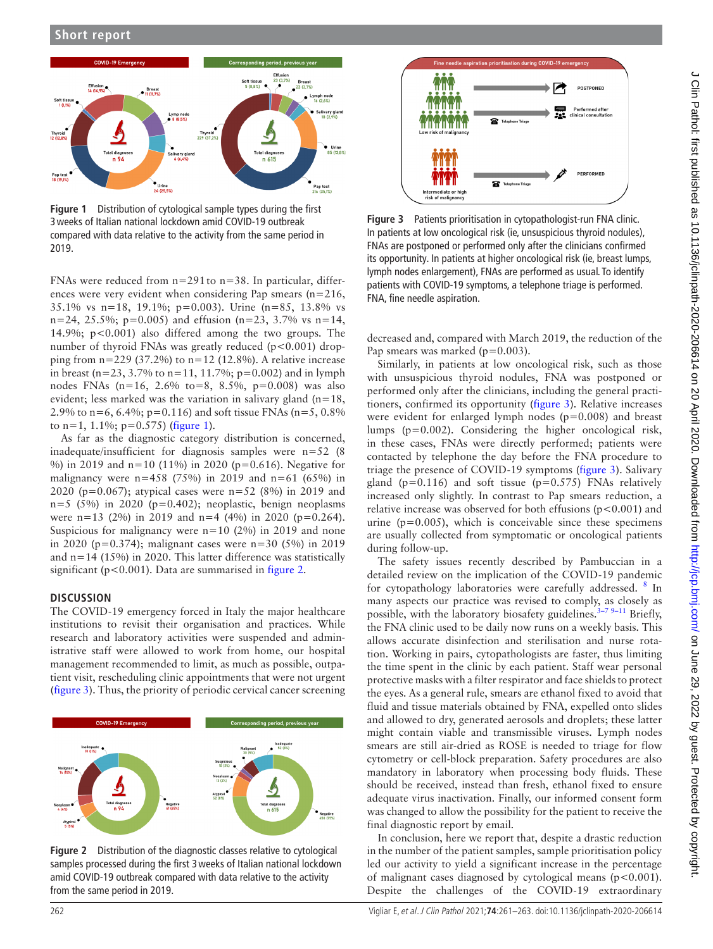

<span id="page-1-0"></span>**Figure 1** Distribution of cytological sample types during the first 3weeks of Italian national lockdown amid COVID-19 outbreak compared with data relative to the activity from the same period in 2019.

FNAs were reduced from n=291to n=38. In particular, differences were very evident when considering Pap smears (n=216, 35.1% vs n=18, 19.1%; p=0.003). Urine (n=85, 13.8% vs  $n=24$ , 25.5%;  $p=0.005$ ) and effusion ( $n=23$ , 3.7% vs  $n=14$ , 14.9%; p<0.001) also differed among the two groups. The number of thyroid FNAs was greatly reduced  $(p<0.001)$  dropping from  $n=229$  (37.2%) to  $n=12$  (12.8%). A relative increase in breast (n=23, 3.7% to n=11, 11.7%; p=0.002) and in lymph nodes FNAs  $(n=16, 2.6\%$  to=8, 8.5%, p=0.008) was also evident; less marked was the variation in salivary gland  $(n=18,$ 2.9% to  $n=6, 6.4\%$ ;  $p=0.116$ ) and soft tissue FNAs ( $n=5, 0.8\%$ ) to  $n=1$ , 1.1%;  $p=0.575$ ) ([figure](#page-1-0) 1).

As far as the diagnostic category distribution is concerned, inadequate/insufficient for diagnosis samples were n=52 (8 %) in 2019 and n=10 (11%) in 2020 (p=0.616). Negative for malignancy were  $n=458$  (75%) in 2019 and  $n=61$  (65%) in 2020 (p=0.067); atypical cases were n=52 (8%) in 2019 and  $n=5$  (5%) in 2020 (p=0.402); neoplastic, benign neoplasms were  $n=13$  (2%) in 2019 and  $n=4$  (4%) in 2020 ( $p=0.264$ ). Suspicious for malignancy were  $n=10$  (2%) in 2019 and none in 2020 (p=0.374); malignant cases were n=30 (5%) in 2019 and n=14 (15%) in 2020. This latter difference was statistically significant (p<0.001). Data are summarised in [figure](#page-1-1) 2.

## **Discussion**

The COVID-19 emergency forced in Italy the major healthcare institutions to revisit their organisation and practices. While research and laboratory activities were suspended and administrative staff were allowed to work from home, our hospital management recommended to limit, as much as possible, outpatient visit, rescheduling clinic appointments that were not urgent ([figure](#page-1-2) 3). Thus, the priority of periodic cervical cancer screening



<span id="page-1-1"></span>**Figure 2** Distribution of the diagnostic classes relative to cytological samples processed during the first 3weeks of Italian national lockdown amid COVID-19 outbreak compared with data relative to the activity from the same period in 2019.



<span id="page-1-2"></span>**Figure 3** Patients prioritisation in cytopathologist-run FNA clinic. In patients at low oncological risk (ie, unsuspicious thyroid nodules), FNAs are postponed or performed only after the clinicians confirmed its opportunity. In patients at higher oncological risk (ie, breast lumps, lymph nodes enlargement), FNAs are performed as usual. To identify patients with COVID-19 symptoms, a telephone triage is performed. FNA, fine needle aspiration.

decreased and, compared with March 2019, the reduction of the Pap smears was marked  $(p=0.003)$ .

Similarly, in patients at low oncological risk, such as those with unsuspicious thyroid nodules, FNA was postponed or performed only after the clinicians, including the general practitioners, confirmed its opportunity ([figure](#page-1-2) 3). Relative increases were evident for enlarged lymph nodes  $(p=0.008)$  and breast lumps (p=0.002). Considering the higher oncological risk, in these cases, FNAs were directly performed; patients were contacted by telephone the day before the FNA procedure to triage the presence of COVID-19 symptoms [\(figure](#page-1-2) 3). Salivary gland ( $p=0.116$ ) and soft tissue ( $p=0.575$ ) FNAs relatively increased only slightly. In contrast to Pap smears reduction, a relative increase was observed for both effusions  $(p<0.001)$  and urine  $(p=0.005)$ , which is conceivable since these specimens are usually collected from symptomatic or oncological patients during follow-up.

The safety issues recently described by Pambuccian in a detailed review on the implication of the COVID-19 pandemic for cytopathology laboratories were carefully addressed. <sup>[8](#page-2-3)</sup> In many aspects our practice was revised to comply, as closely as possible, with the laboratory biosafety guidelines.<sup>3-7 9-11</sup> Briefly, the FNA clinic used to be daily now runs on a weekly basis. This allows accurate disinfection and sterilisation and nurse rotation. Working in pairs, cytopathologists are faster, thus limiting the time spent in the clinic by each patient. Staff wear personal protective masks with a filter respirator and face shields to protect the eyes. As a general rule, smears are ethanol fixed to avoid that fluid and tissue materials obtained by FNA, expelled onto slides and allowed to dry, generated aerosols and droplets; these latter might contain viable and transmissible viruses. Lymph nodes smears are still air-dried as ROSE is needed to triage for flow cytometry or cell-block preparation. Safety procedures are also mandatory in laboratory when processing body fluids. These should be received, instead than fresh, ethanol fixed to ensure adequate virus inactivation. Finally, our informed consent form was changed to allow the possibility for the patient to receive the final diagnostic report by email.

In conclusion, here we report that, despite a drastic reduction in the number of the patient samples, sample prioritisation policy led our activity to yield a significant increase in the percentage of malignant cases diagnosed by cytological means (p<0.001). Despite the challenges of the COVID-19 extraordinary